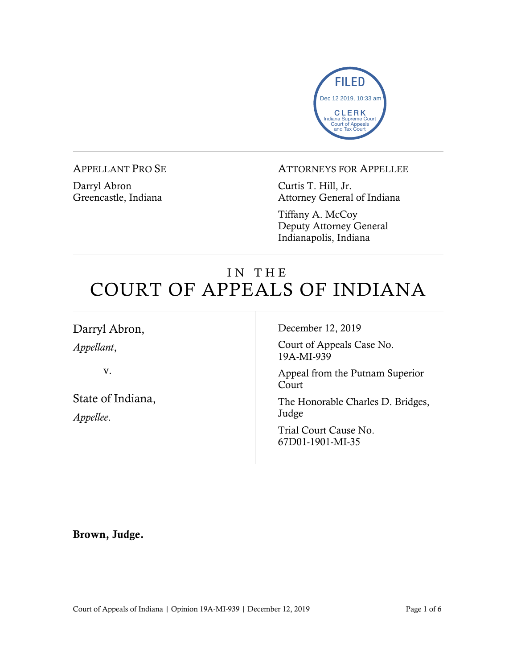

#### APPELLANT PRO SE

Darryl Abron Greencastle, Indiana

### ATTORNEYS FOR APPELLEE

Curtis T. Hill, Jr. Attorney General of Indiana

Tiffany A. McCoy Deputy Attorney General Indianapolis, Indiana

# IN THE COURT OF APPEALS OF INDIANA

т

| Darryl Abron,                  | December 12, 2019                          |
|--------------------------------|--------------------------------------------|
| Appellant,                     | Court of Appeals Case No.<br>19A-MI-939    |
| V.                             | Appeal from the Putnam Superior<br>Court   |
| State of Indiana,<br>Appellee. | The Honorable Charles D. Bridges,<br>Judge |
|                                | Trial Court Cause No.<br>67D01-1901-MI-35  |
|                                |                                            |

Brown, Judge.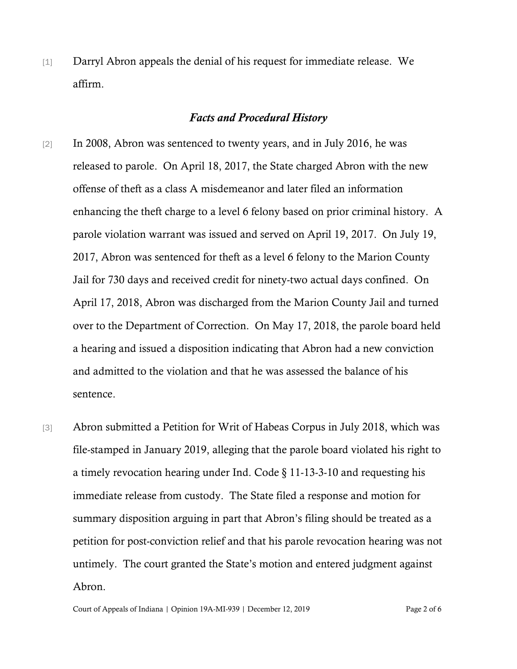[1] Darryl Abron appeals the denial of his request for immediate release. We affirm.

### *Facts and Procedural History*

- [2] In 2008, Abron was sentenced to twenty years, and in July 2016, he was released to parole. On April 18, 2017, the State charged Abron with the new offense of theft as a class A misdemeanor and later filed an information enhancing the theft charge to a level 6 felony based on prior criminal history. A parole violation warrant was issued and served on April 19, 2017. On July 19, 2017, Abron was sentenced for theft as a level 6 felony to the Marion County Jail for 730 days and received credit for ninety-two actual days confined. On April 17, 2018, Abron was discharged from the Marion County Jail and turned over to the Department of Correction. On May 17, 2018, the parole board held a hearing and issued a disposition indicating that Abron had a new conviction and admitted to the violation and that he was assessed the balance of his sentence.
- [3] Abron submitted a Petition for Writ of Habeas Corpus in July 2018, which was file-stamped in January 2019, alleging that the parole board violated his right to a timely revocation hearing under Ind. Code § 11-13-3-10 and requesting his immediate release from custody. The State filed a response and motion for summary disposition arguing in part that Abron's filing should be treated as a petition for post-conviction relief and that his parole revocation hearing was not untimely. The court granted the State's motion and entered judgment against Abron.

Court of Appeals of Indiana | Opinion 19A-MI-939 | December 12, 2019 Page 2 of 6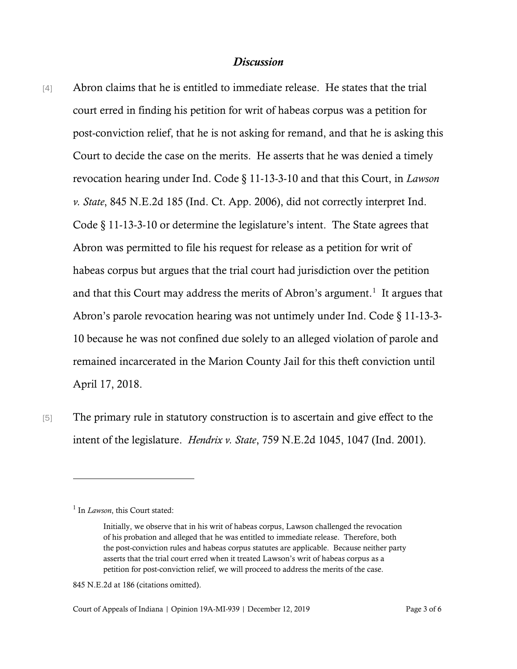## *Discussion*

[4] Abron claims that he is entitled to immediate release. He states that the trial court erred in finding his petition for writ of habeas corpus was a petition for post-conviction relief, that he is not asking for remand, and that he is asking this Court to decide the case on the merits. He asserts that he was denied a timely revocation hearing under Ind. Code § 11-13-3-10 and that this Court, in *Lawson v. State*, 845 N.E.2d 185 (Ind. Ct. App. 2006), did not correctly interpret Ind. Code § 11-13-3-10 or determine the legislature's intent. The State agrees that Abron was permitted to file his request for release as a petition for writ of habeas corpus but argues that the trial court had jurisdiction over the petition and that this Court may address the merits of Abron's argument.<sup>[1](#page-2-0)</sup> It argues that Abron's parole revocation hearing was not untimely under Ind. Code § 11-13-3- 10 because he was not confined due solely to an alleged violation of parole and remained incarcerated in the Marion County Jail for this theft conviction until April 17, 2018.

[5] The primary rule in statutory construction is to ascertain and give effect to the intent of the legislature. *Hendrix v. State*, 759 N.E.2d 1045, 1047 (Ind. 2001).

<span id="page-2-0"></span><sup>&</sup>lt;sup>1</sup> In *Lawson*, this Court stated:

Initially, we observe that in his writ of habeas corpus, Lawson challenged the revocation of his probation and alleged that he was entitled to immediate release. Therefore, both the post-conviction rules and habeas corpus statutes are applicable. Because neither party asserts that the trial court erred when it treated Lawson's writ of habeas corpus as a petition for post-conviction relief, we will proceed to address the merits of the case.

<sup>845</sup> N.E.2d at 186 (citations omitted).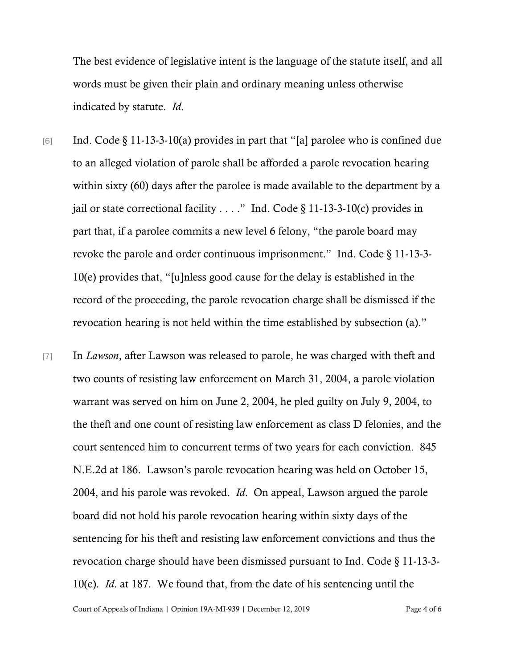The best evidence of legislative intent is the language of the statute itself, and all words must be given their plain and ordinary meaning unless otherwise indicated by statute. *Id*.

- [6] Ind. Code  $\S 11$ -13-3-10(a) provides in part that "[a] parolee who is confined due to an alleged violation of parole shall be afforded a parole revocation hearing within sixty (60) days after the parolee is made available to the department by a jail or state correctional facility  $\dots$ ." Ind. Code § 11-13-3-10(c) provides in part that, if a parolee commits a new level 6 felony, "the parole board may revoke the parole and order continuous imprisonment." Ind. Code § 11-13-3- 10(e) provides that, "[u]nless good cause for the delay is established in the record of the proceeding, the parole revocation charge shall be dismissed if the revocation hearing is not held within the time established by subsection (a)."
- [7] In *Lawson*, after Lawson was released to parole, he was charged with theft and two counts of resisting law enforcement on March 31, 2004, a parole violation warrant was served on him on June 2, 2004, he pled guilty on July 9, 2004, to the theft and one count of resisting law enforcement as class D felonies, and the court sentenced him to concurrent terms of two years for each conviction. 845 N.E.2d at 186. Lawson's parole revocation hearing was held on October 15, 2004, and his parole was revoked. *Id*. On appeal, Lawson argued the parole board did not hold his parole revocation hearing within sixty days of the sentencing for his theft and resisting law enforcement convictions and thus the revocation charge should have been dismissed pursuant to Ind. Code § 11-13-3- 10(e). *Id*. at 187. We found that, from the date of his sentencing until the

Court of Appeals of Indiana | Opinion 19A-MI-939 | December 12, 2019 Page 4 of 6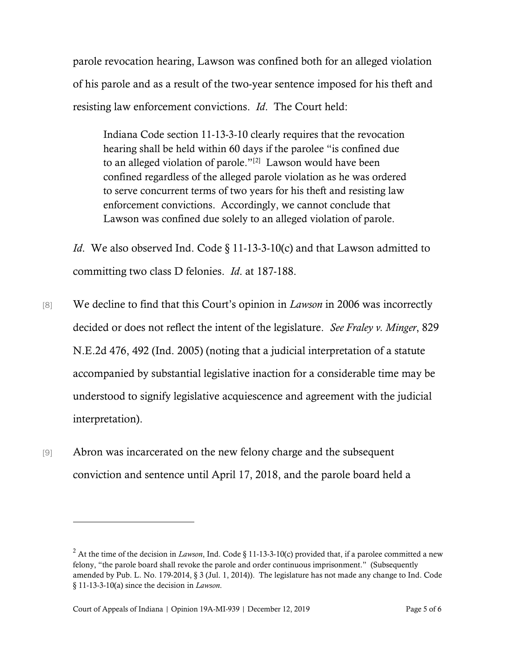parole revocation hearing, Lawson was confined both for an alleged violation of his parole and as a result of the two-year sentence imposed for his theft and resisting law enforcement convictions. *Id*. The Court held:

Indiana Code section 11-13-3-10 clearly requires that the revocation hearing shall be held within 60 days if the parolee "is confined due to an alleged violation of parole."<sup>[[2](#page-4-0)]</sup> Lawson would have been confined regardless of the alleged parole violation as he was ordered to serve concurrent terms of two years for his theft and resisting law enforcement convictions. Accordingly, we cannot conclude that Lawson was confined due solely to an alleged violation of parole.

*Id.* We also observed Ind. Code § 11-13-3-10(c) and that Lawson admitted to committing two class D felonies. *Id*. at 187-188.

[8] We decline to find that this Court's opinion in *Lawson* in 2006 was incorrectly decided or does not reflect the intent of the legislature. *See Fraley v. Minger*, 829 N.E.2d 476, 492 (Ind. 2005) (noting that a judicial interpretation of a statute accompanied by substantial legislative inaction for a considerable time may be understood to signify legislative acquiescence and agreement with the judicial interpretation).

[9] Abron was incarcerated on the new felony charge and the subsequent conviction and sentence until April 17, 2018, and the parole board held a

<span id="page-4-0"></span><sup>&</sup>lt;sup>2</sup> At the time of the decision in *Lawson*, Ind. Code § 11-13-3-10(c) provided that, if a parolee committed a new felony, "the parole board shall revoke the parole and order continuous imprisonment." (Subsequently amended by Pub. L. No. 179-2014, § 3 (Jul. 1, 2014)). The legislature has not made any change to Ind. Code § 11-13-3-10(a) since the decision in *Lawson*.